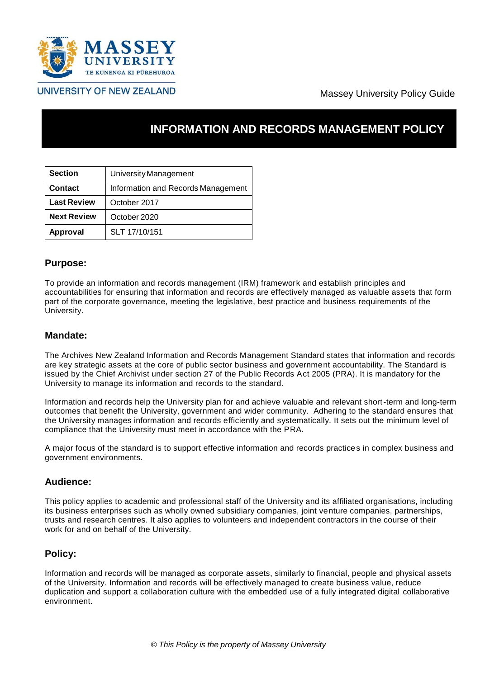

# Massey University Policy Guide

# **INFORMATION AND RECORDS MANAGEMENT POLICY**

| <b>Section</b>     | University Management              |
|--------------------|------------------------------------|
| <b>Contact</b>     | Information and Records Management |
| <b>Last Review</b> | October 2017                       |
| <b>Next Review</b> | October 2020                       |
| <b>Approval</b>    | SLT 17/10/151                      |

# **Purpose:**

To provide an information and records management (IRM) framework and establish principles and accountabilities for ensuring that information and records are effectively managed as valuable assets that form part of the corporate governance, meeting the legislative, best practice and business requirements of the University.

# **Mandate:**

The Archives New Zealand Information and Records Management Standard states that information and records are key strategic assets at the core of public sector business and government accountability. The Standard is issued by the Chief Archivist under section 27 of the Public Records Act 2005 (PRA). It is mandatory for the University to manage its information and records to the standard.

Information and records help the University plan for and achieve valuable and relevant short-term and long-term outcomes that benefit the University, government and wider community. Adhering to the standard ensures that the University manages information and records efficiently and systematically. It sets out the minimum level of compliance that the University must meet in accordance with the PRA.

A major focus of the standard is to support effective information and records practices in complex business and government environments.

# **Audience:**

This policy applies to academic and professional staff of the University and its affiliated organisations, including its business enterprises such as wholly owned subsidiary companies, joint venture companies, partnerships, trusts and research centres. It also applies to volunteers and independent contractors in the course of their work for and on behalf of the University.

# **Policy:**

Information and records will be managed as corporate assets, similarly to financial, people and physical assets of the University. Information and records will be effectively managed to create business value, reduce duplication and support a collaboration culture with the embedded use of a fully integrated digital collaborative environment.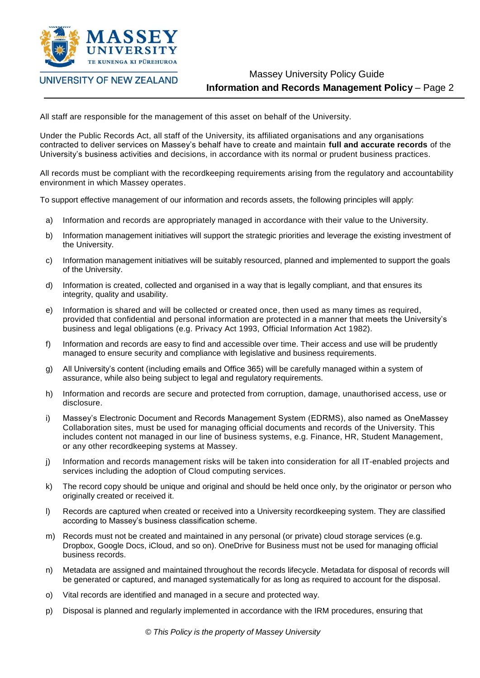

# Massey University Policy Guide **Information and Records Management Policy** – Page 2

All staff are responsible for the management of this asset on behalf of the University.

Under the Public Records Act, all staff of the University, its affiliated organisations and any organisations contracted to deliver services on Massey's behalf have to create and maintain **full and accurate records** of the University's business activities and decisions, in accordance with its normal or prudent business practices.

All records must be compliant with the recordkeeping requirements arising from the regulatory and accountability environment in which Massey operates.

To support effective management of our information and records assets, the following principles will apply:

- a) Information and records are appropriately managed in accordance with their value to the University.
- b) Information management initiatives will support the strategic priorities and leverage the existing investment of the University.
- c) Information management initiatives will be suitably resourced, planned and implemented to support the goals of the University.
- d) Information is created, collected and organised in a way that is legally compliant, and that ensures its integrity, quality and usability.
- e) Information is shared and will be collected or created once, then used as many times as required, provided that confidential and personal information are protected in a manner that meets the University's business and legal obligations (e.g. Privacy Act 1993, Official Information Act 1982).
- f) Information and records are easy to find and accessible over time. Their access and use will be prudently managed to ensure security and compliance with legislative and business requirements.
- g) All University's content (including emails and Office 365) will be carefully managed within a system of assurance, while also being subject to legal and regulatory requirements.
- h) Information and records are secure and protected from corruption, damage, unauthorised access, use or disclosure.
- i) Massey's Electronic Document and Records Management System (EDRMS), also named as OneMassey Collaboration sites, must be used for managing official documents and records of the University. This includes content not managed in our line of business systems, e.g. Finance, HR, Student Management, or any other recordkeeping systems at Massey.
- j) Information and records management risks will be taken into consideration for all IT-enabled projects and services including the adoption of Cloud computing services.
- k) The record copy should be unique and original and should be held once only, by the originator or person who originally created or received it.
- l) Records are captured when created or received into a University recordkeeping system. They are classified according to Massey's business classification scheme.
- m) Records must not be created and maintained in any personal (or private) cloud storage services (e.g. Dropbox, Google Docs, iCloud, and so on). OneDrive for Business must not be used for managing official business records.
- n) Metadata are assigned and maintained throughout the records lifecycle. Metadata for disposal of records will be generated or captured, and managed systematically for as long as required to account for the disposal.
- o) Vital records are identified and managed in a secure and protected way.
- p) Disposal is planned and regularly implemented in accordance with the IRM procedures, ensuring that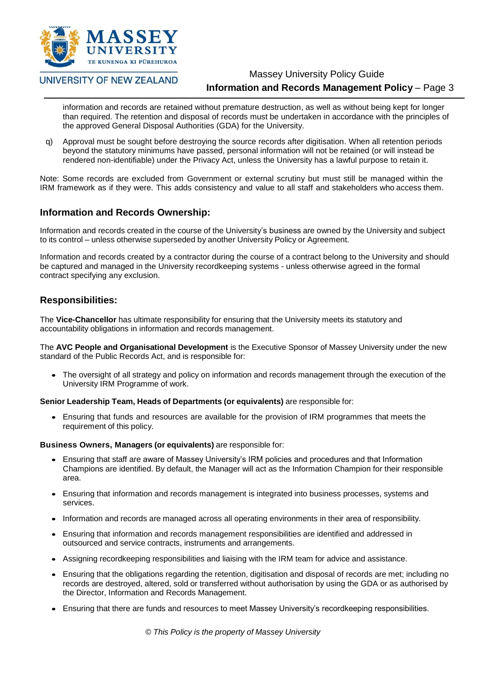

# Massey University Policy Guide

# **Information and Records Management Policy** – Page 3

information and records are retained without premature destruction, as well as without being kept for longer than required. The retention and disposal of records must be undertaken in accordance with the principles of the approved General Disposal Authorities (GDA) for the University.

q) Approval must be sought before destroying the source records after digitisation. When all retention periods beyond the statutory minimums have passed, personal information will not be retained (or will instead be rendered non-identifiable) under the Privacy Act, unless the University has a lawful purpose to retain it.

Note: Some records are excluded from Government or external scrutiny but must still be managed within the IRM framework as if they were. This adds consistency and value to all staff and stakeholders who access them.

# **Information and Records Ownership:**

Information and records created in the course of the University's business are owned by the University and subject to its control – unless otherwise superseded by another University Policy or Agreement.

Information and records created by a contractor during the course of a contract belong to the University and should be captured and managed in the University recordkeeping systems - unless otherwise agreed in the formal contract specifying any exclusion.

# **Responsibilities:**

The **Vice-Chancellor** has ultimate responsibility for ensuring that the University meets its statutory and accountability obligations in information and records management.

The **AVC People and Organisational Development** is the Executive Sponsor of Massey University under the new standard of the Public Records Act, and is responsible for:

• The oversight of all strategy and policy on information and records management through the execution of the University IRM Programme of work.

**Senior Leadership Team, Heads of Departments (or equivalents)** are responsible for:

 Ensuring that funds and resources are available for the provision of IRM programmes that meets the requirement of this policy.

**Business Owners, Managers (or equivalents)** are responsible for:

- Ensuring that staff are aware of Massey University's IRM policies and procedures and that Information Champions are identified. By default, the Manager will act as the Information Champion for their responsible area.
- Ensuring that information and records management is integrated into business processes, systems and services.
- Information and records are managed across all operating environments in their area of responsibility.
- Ensuring that information and records management responsibilities are identified and addressed in outsourced and service contracts, instruments and arrangements.
- Assigning recordkeeping responsibilities and liaising with the IRM team for advice and assistance.
- Ensuring that the obligations regarding the retention, digitisation and disposal of records are met; including no records are destroyed, altered, sold or transferred without authorisation by using the GDA or as authorised by the Director, Information and Records Management.
- Ensuring that there are funds and resources to meet Massey University's recordkeeping responsibilities.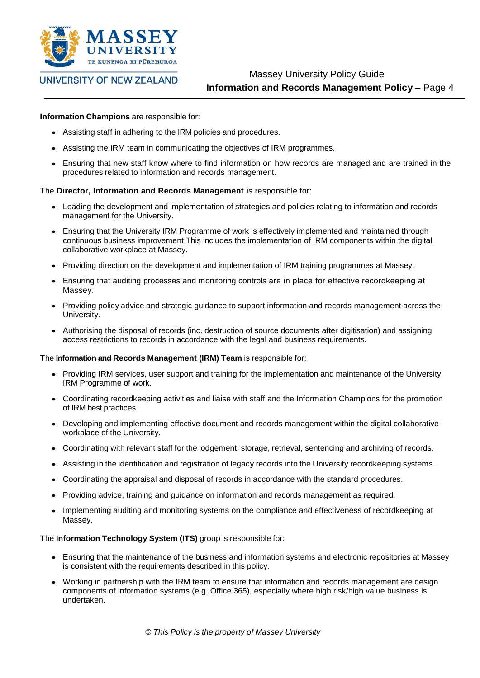

Massey University Policy Guide **Information and Records Management Policy** – Page 4

## **Information Champions** are responsible for:

- Assisting staff in adhering to the IRM policies and procedures.
- Assisting the IRM team in communicating the objectives of IRM programmes.
- Ensuring that new staff know where to find information on how records are managed and are trained in the procedures related to information and records management.

## The **Director, Information and Records Management** is responsible for:

- Leading the development and implementation of strategies and policies relating to information and records management for the University.
- Ensuring that the University IRM Programme of work is effectively implemented and maintained through continuous business improvement This includes the implementation of IRM components within the digital collaborative workplace at Massey.
- Providing direction on the development and implementation of IRM training programmes at Massey.
- Ensuring that auditing processes and monitoring controls are in place for effective recordkeeping at Massey.
- Providing policy advice and strategic guidance to support information and records management across the University.
- Authorising the disposal of records (inc. destruction of source documents after digitisation) and assigning access restrictions to records in accordance with the legal and business requirements.

## The **Information and Records Management (IRM) Team** is responsible for:

- Providing IRM services, user support and training for the implementation and maintenance of the University IRM Programme of work.
- Coordinating recordkeeping activities and liaise with staff and the Information Champions for the promotion of IRM best practices.
- Developing and implementing effective document and records management within the digital collaborative workplace of the University.
- Coordinating with relevant staff for the lodgement, storage, retrieval, sentencing and archiving of records.
- Assisting in the identification and registration of legacy records into the University recordkeeping systems.
- Coordinating the appraisal and disposal of records in accordance with the standard procedures.
- Providing advice, training and guidance on information and records management as required.
- Implementing auditing and monitoring systems on the compliance and effectiveness of recordkeeping at Massey.

## The **Information Technology System (ITS)** group is responsible for:

- Ensuring that the maintenance of the business and information systems and electronic repositories at Massey is consistent with the requirements described in this policy.
- Working in partnership with the IRM team to ensure that information and records management are design components of information systems (e.g. Office 365), especially where high risk/high value business is undertaken.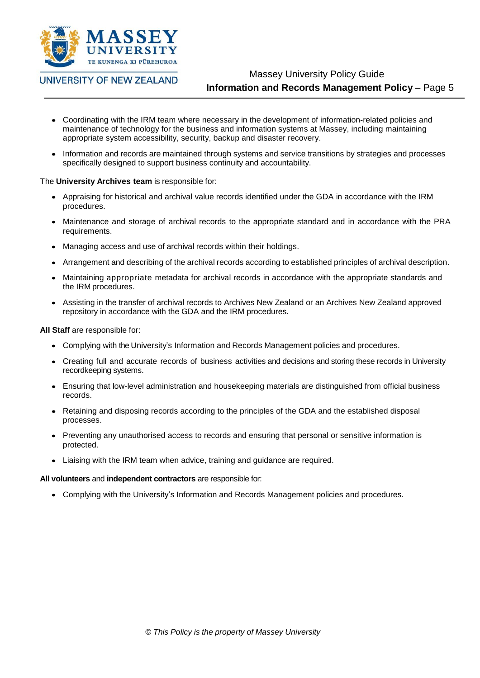

# Massey University Policy Guide **Information and Records Management Policy** – Page 5

- Coordinating with the IRM team where necessary in the development of information-related policies and maintenance of technology for the business and information systems at Massey, including maintaining appropriate system accessibility, security, backup and disaster recovery.
- Information and records are maintained through systems and service transitions by strategies and processes specifically designed to support business continuity and accountability.

## The **University Archives team** is responsible for:

- Appraising for historical and archival value records identified under the GDA in accordance with the IRM procedures.
- Maintenance and storage of archival records to the appropriate standard and in accordance with the PRA requirements.
- Managing access and use of archival records within their holdings.
- Arrangement and describing of the archival records according to established principles of archival description.
- Maintaining appropriate metadata for archival records in accordance with the appropriate standards and the IRM procedures.
- Assisting in the transfer of archival records to Archives New Zealand or an Archives New Zealand approved repository in accordance with the GDA and the IRM procedures.

**All Staff** are responsible for:

- Complying with the University's Information and Records Management policies and procedures.
- Creating full and accurate records of business activities and decisions and storing these records in University recordkeeping systems.
- Ensuring that low-level administration and housekeeping materials are distinguished from official business records.
- Retaining and disposing records according to the principles of the GDA and the established disposal processes.
- Preventing any unauthorised access to records and ensuring that personal or sensitive information is protected.
- Liaising with the IRM team when advice, training and guidance are required.

## **All volunteers** and **independent contractors** are responsible for:

Complying with the University's Information and Records Management policies and procedures.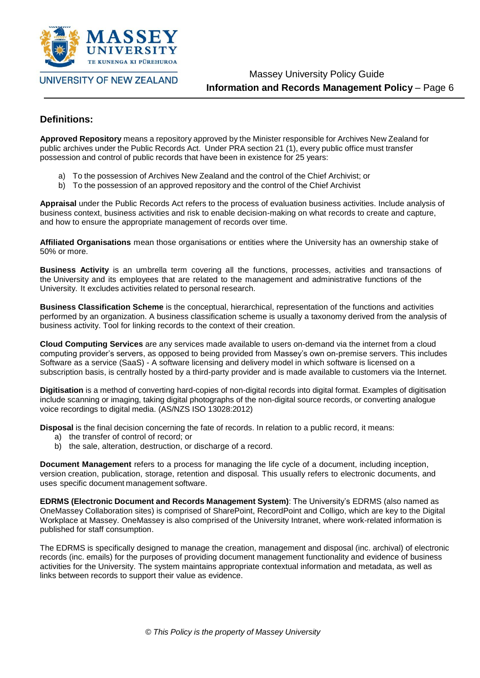

Massey University Policy Guide **Information and Records Management Policy** – Page 6

# **Definitions:**

**Approved Repository** means a repository approved by the Minister responsible for Archives New Zealand for public archives under the Public Records Act. Under PRA section 21 (1), every public office must transfer possession and control of public records that have been in existence for 25 years:

- a) To the possession of Archives New Zealand and the control of the Chief Archivist; or
- b) To the possession of an approved repository and the control of the Chief Archivist

**Appraisal** under the Public Records Act refers to the process of evaluation business activities. Include analysis of business context, business activities and risk to enable decision-making on what records to create and capture, and how to ensure the appropriate management of records over time.

**Affiliated Organisations** mean those organisations or entities where the University has an ownership stake of 50% or more.

**Business Activity** is an umbrella term covering all the functions, processes, activities and transactions of the University and its employees that are related to the management and administrative functions of the University. It excludes activities related to personal research.

**Business Classification Scheme** is the conceptual, hierarchical, representation of the functions and activities performed by an organization. A business classification scheme is usually a taxonomy derived from the analysis of business activity. Tool for linking records to the context of their creation.

**Cloud Computing Services** are any services made available to users on-demand via the internet from a cloud computing provider's servers, as opposed to being provided from Massey's own on-premise servers. This includes Software as a service (SaaS) - A software licensing and delivery model in which software is licensed on a subscription basis, is centrally hosted by a third-party provider and is made available to customers via the Internet.

**Digitisation** is a method of converting hard-copies of non-digital records into digital format. Examples of digitisation include scanning or imaging, taking digital photographs of the non-digital source records, or converting analogue voice recordings to digital media. (AS/NZS ISO 13028:2012)

**Disposal** is the final decision concerning the fate of records. In relation to a public record, it means:

- a) the transfer of control of record; or
- b) the sale, alteration, destruction, or discharge of a record.

**Document Management** refers to a process for managing the life cycle of a document, including inception, version creation, publication, storage, retention and disposal. This usually refers to electronic documents, and uses specific document management software.

**EDRMS (Electronic Document and Records Management System)**: The University's EDRMS (also named as OneMassey Collaboration sites) is comprised of SharePoint, RecordPoint and Colligo, which are key to the Digital Workplace at Massey. OneMassey is also comprised of the University Intranet, where work-related information is published for staff consumption.

The EDRMS is specifically designed to manage the creation, management and disposal (inc. archival) of electronic records (inc. emails) for the purposes of providing document management functionality and evidence of business activities for the University. The system maintains appropriate contextual information and metadata, as well as links between records to support their value as evidence.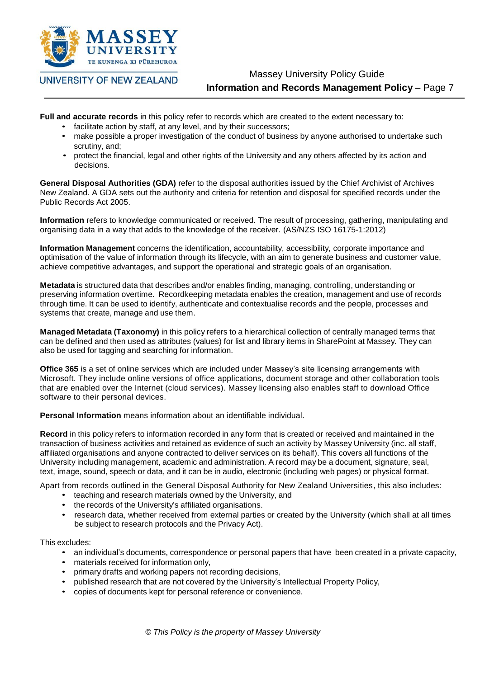

Massey University Policy Guide

# **Information and Records Management Policy** – Page 7

**Full and accurate records** in this policy refer to records which are created to the extent necessary to:

- facilitate action by staff, at any level, and by their successors;
- make possible a proper investigation of the conduct of business by anyone authorised to undertake such scrutiny, and;
- protect the financial, legal and other rights of the University and any others affected by its action and decisions.

**General Disposal Authorities (GDA)** refer to the disposal authorities issued by the Chief Archivist of Archives New Zealand. A GDA sets out the authority and criteria for retention and disposal for specified records under the Public Records Act 2005.

**Information** refers to knowledge communicated or received. The result of processing, gathering, manipulating and organising data in a way that adds to the knowledge of the receiver. (AS/NZS ISO 16175-1:2012)

**Information Management** concerns the identification, accountability, accessibility, corporate importance and optimisation of the value of information through its lifecycle, with an aim to generate business and customer value, achieve competitive advantages, and support the operational and strategic goals of an organisation.

**Metadata** is structured data that describes and/or enables finding, managing, controlling, understanding or preserving information overtime. Recordkeeping metadata enables the creation, management and use of records through time. It can be used to identify, authenticate and contextualise records and the people, processes and systems that create, manage and use them.

**Managed Metadata (Taxonomy)** in this policy refers to a hierarchical collection of centrally managed terms that can be defined and then used as attributes (values) for list and library items in SharePoint at Massey. They can also be used for tagging and searching for information.

**Office 365** is a set of online services which are included under Massey's site licensing arrangements with Microsoft. They include online versions of office applications, document storage and other collaboration tools that are enabled over the Internet (cloud services). Massey licensing also enables staff to download Office software to their personal devices.

**Personal Information** means information about an identifiable individual.

**Record** in this policy refers to information recorded in any form that is created or received and maintained in the transaction of business activities and retained as evidence of such an activity by Massey University (inc. all staff, affiliated organisations and anyone contracted to deliver services on its behalf). This covers all functions of the University including management, academic and administration. A record may be a document, signature, seal, text, image, sound, speech or data, and it can be in audio, electronic (including web pages) or physical format.

Apart from records outlined in the General Disposal Authority for New Zealand Universities, this also includes:

- teaching and research materials owned by the University, and
- the records of the University's affiliated organisations.
- research data, whether received from external parties or created by the University (which shall at all times be subject to research protocols and the Privacy Act).

This excludes:

- an individual's documents, correspondence or personal papers that have been created in a private capacity,
- materials received for information only,
- primary drafts and working papers not recording decisions,
- published research that are not covered by the University's Intellectual Property Policy,
- copies of documents kept for personal reference or convenience.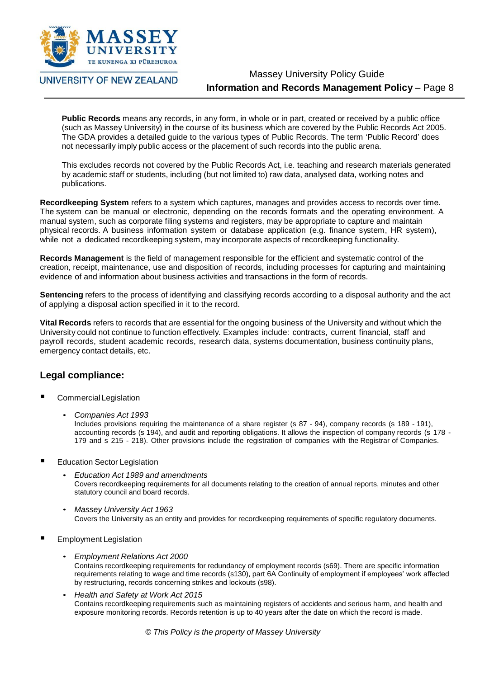

# Massey University Policy Guide **Information and Records Management Policy** – Page 8

**Public Records** means any records, in any form, in whole or in part, created or received by a public office (such as Massey University) in the course of its business which are covered by the Public Records Act 2005. The GDA provides a detailed guide to the various types of Public Records. The term 'Public Record' does not necessarily imply public access or the placement of such records into the public arena.

This excludes records not covered by the Public Records Act, i.e. teaching and research materials generated by academic staff or students, including (but not limited to) raw data, analysed data, working notes and publications.

**Recordkeeping System** refers to a system which captures, manages and provides access to records over time. The system can be manual or electronic, depending on the records formats and the operating environment. A manual system, such as corporate filing systems and registers, may be appropriate to capture and maintain physical records. A business information system or database application (e.g. finance system, HR system), while not a dedicated recordkeeping system, may incorporate aspects of recordkeeping functionality.

**Records Management** is the field of management responsible for the efficient and systematic control of the creation, receipt, maintenance, use and disposition of records, including processes for capturing and maintaining evidence of and information about business activities and transactions in the form of records.

**Sentencing** refers to the process of identifying and classifying records according to a disposal authority and the act of applying a disposal action specified in it to the record.

**Vital Records** refers to records that are essential for the ongoing business of the University and without which the University could not continue to function effectively. Examples include: contracts, current financial, staff and payroll records, student academic records, research data, systems documentation, business continuity plans, emergency contact details, etc.

# **Legal compliance:**

- Commercial Legislation
	- *Companies Act 1993*

Includes provisions requiring the maintenance of a share register (s 87 - 94), company records (s 189 - 191), accounting records (s 194), and audit and reporting obligations. It allows the inspection of company records (s 178 - 179 and s 215 - 218). Other provisions include the registration of companies with the Registrar of Companies.

- Education Sector Legislation
	- *Education Act 1989 and amendments* Covers recordkeeping requirements for all documents relating to the creation of annual reports, minutes and other statutory council and board records.
	- *Massey University Act 1963* Covers the University as an entity and provides for recordkeeping requirements of specific regulatory documents.
- Employment Legislation
	- *Employment Relations Act 2000* Contains recordkeeping requirements for redundancy of employment records (s69). There are specific information requirements relating to wage and time records (s130), part 6A Continuity of employment if employees' work affected by restructuring, records concerning strikes and lockouts (s98).
	- *Health and Safety at Work Act 2015* Contains recordkeeping requirements such as maintaining registers of accidents and serious harm, and health and exposure monitoring records. Records retention is up to 40 years after the date on which the record is made.

*© This Policy is the property of Massey University*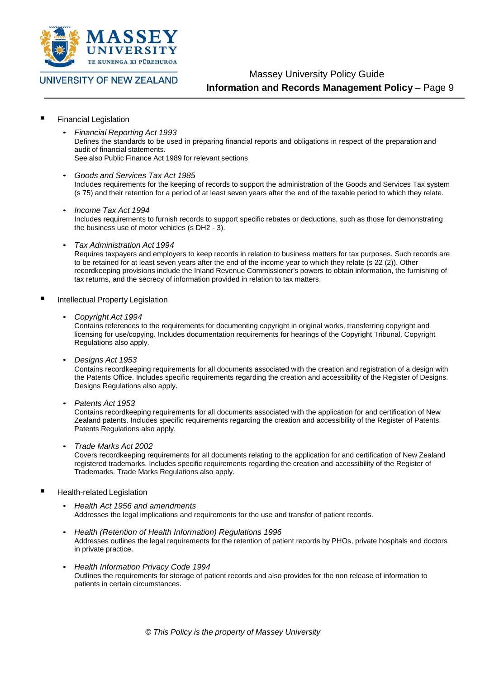

Massey University Policy Guide

**Information and Records Management Policy** – Page 9

- Financial Legislation
	- *Financial Reporting Act 1993* Defines the standards to be used in preparing financial reports and obligations in respect of the preparation and audit of financial statements. See also Public Finance Act 1989 for relevant sections
	- *Goods and Services Tax Act 1985* Includes requirements for the keeping of records to support the administration of the Goods and Services Tax system (s 75) and their retention for a period of at least seven years after the end of the taxable period to which they relate.
	- *Income Tax Act 1994* Includes requirements to furnish records to support specific rebates or deductions, such as those for demonstrating the business use of motor vehicles (s DH2 - 3).
	- *Tax Administration Act 1994* Requires taxpayers and employers to keep records in relation to business matters for tax purposes. Such records are to be retained for at least seven years after the end of the income year to which they relate (s 22 (2)). Other recordkeeping provisions include the Inland Revenue Commissioner's powers to obtain information, the furnishing of tax returns, and the secrecy of information provided in relation to tax matters.
- Intellectual Property Legislation
	- *Copyright Act 1994*

Contains references to the requirements for documenting copyright in original works, transferring copyright and licensing for use/copying. Includes documentation requirements for hearings of the Copyright Tribunal. Copyright Regulations also apply.

• *Designs Act 1953*

Contains recordkeeping requirements for all documents associated with the creation and registration of a design with the Patents Office. Includes specific requirements regarding the creation and accessibility of the Register of Designs. Designs Regulations also apply.

• *Patents Act 1953*

Contains recordkeeping requirements for all documents associated with the application for and certification of New Zealand patents. Includes specific requirements regarding the creation and accessibility of the Register of Patents. Patents Regulations also apply.

• *Trade Marks Act 2002*

Covers recordkeeping requirements for all documents relating to the application for and certification of New Zealand registered trademarks. Includes specific requirements regarding the creation and accessibility of the Register of Trademarks. Trade Marks Regulations also apply.

- Health-related Legislation
	- *Health Act 1956 and amendments* Addresses the legal implications and requirements for the use and transfer of patient records.
	- *Health (Retention of Health Information) Regulations 1996* Addresses outlines the legal requirements for the retention of patient records by PHOs, private hospitals and doctors in private practice.
	- *Health Information Privacy Code 1994* Outlines the requirements for storage of patient records and also provides for the non release of information to patients in certain circumstances.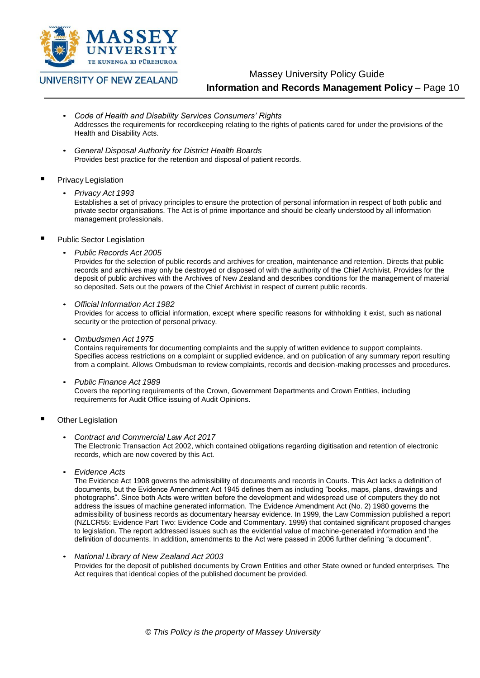

Massey University Policy Guide

# **Information and Records Management Policy** – Page 10

- *Code of Health and Disability Services Consumers' Rights* Addresses the requirements for recordkeeping relating to the rights of patients cared for under the provisions of the Health and Disability Acts.
- *General Disposal Authority for District Health Boards* Provides best practice for the retention and disposal of patient records.

## Privacy Legislation

• *Privacy Act 1993*

Establishes a set of privacy principles to ensure the protection of personal information in respect of both public and private sector organisations. The Act is of prime importance and should be clearly understood by all information management professionals.

- Public Sector Legislation
	- *Public Records Act 2005*

Provides for the selection of public records and archives for creation, maintenance and retention. Directs that public records and archives may only be destroyed or disposed of with the authority of the Chief Archivist. Provides for the deposit of public archives with the Archives of New Zealand and describes conditions for the management of material so deposited. Sets out the powers of the Chief Archivist in respect of current public records.

• *Official Information Act 1982*

Provides for access to official information, except where specific reasons for withholding it exist, such as national security or the protection of personal privacy.

• *Ombudsmen Act 1975*

Contains requirements for documenting complaints and the supply of written evidence to support complaints. Specifies access restrictions on a complaint or supplied evidence, and on publication of any summary report resulting from a complaint. Allows Ombudsman to review complaints, records and decision-making processes and procedures.

- *Public Finance Act 1989* Covers the reporting requirements of the Crown, Government Departments and Crown Entities, including requirements for Audit Office issuing of Audit Opinions.
- Other Legislation
	- *Contract and Commercial Law Act 2017* The Electronic Transaction Act 2002, which contained obligations regarding digitisation and retention of electronic records, which are now covered by this Act.
	- *Evidence Acts*

The Evidence Act 1908 governs the admissibility of documents and records in Courts. This Act lacks a definition of documents, but the Evidence Amendment Act 1945 defines them as including "books, maps, plans, drawings and photographs". Since both Acts were written before the development and widespread use of computers they do not address the issues of machine generated information. The Evidence Amendment Act (No. 2) 1980 governs the admissibility of business records as documentary hearsay evidence. In 1999, the Law Commission published a report (NZLCR55: Evidence Part Two: Evidence Code and Commentary. 1999) that contained significant proposed changes to legislation. The report addressed issues such as the evidential value of machine-generated information and the definition of documents. In addition, amendments to the Act were passed in 2006 further defining "a document".

## • *National Library of New Zealand Act 2003*

Provides for the deposit of published documents by Crown Entities and other State owned or funded enterprises. The Act requires that identical copies of the published document be provided.